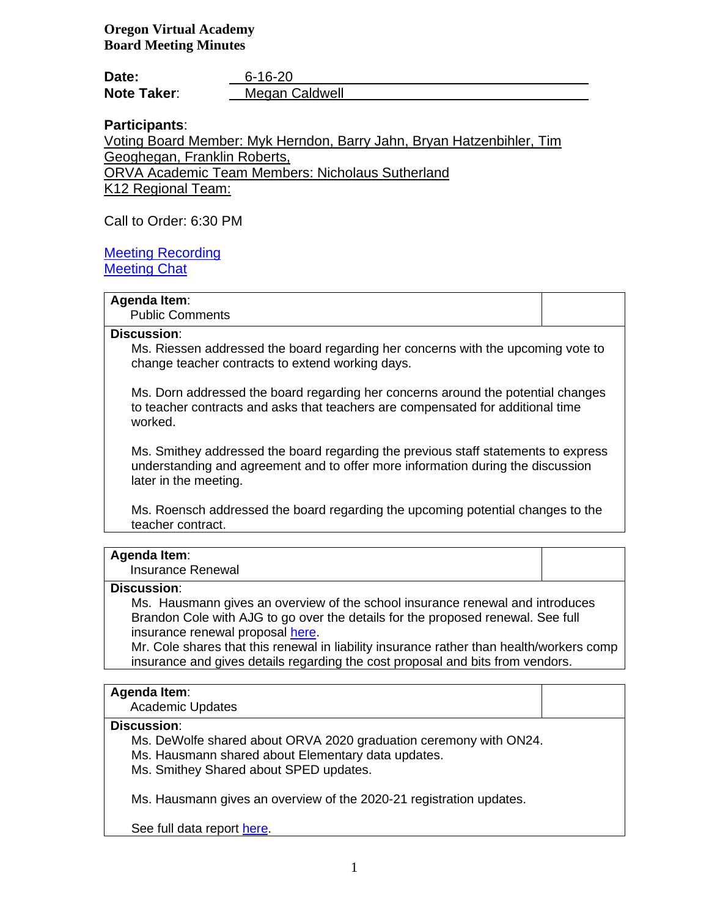**Oregon Virtual Academy Board Meeting Minutes**

| Date:              | $6 - 16 - 20$  |
|--------------------|----------------|
| <b>Note Taker:</b> | Megan Caldwell |

# **Participants**:

Voting Board Member: Myk Herndon, Barry Jahn, Bryan Hatzenbihler, Tim Geoghegan, Franklin Roberts,

ORVA Academic Team Members: Nicholaus Sutherland

K12 Regional Team:

Call to Order: 6:30 PM

Meeting Recording Meeting Chat

# **Agenda Item**:

Public Comments

### **Discussion**:

Ms. Riessen addressed the board regarding her concerns with the upcoming vote to change teacher contracts to extend working days.

Ms. Dorn addressed the board regarding her concerns around the potential changes to teacher contracts and asks that teachers are compensated for additional time worked.

Ms. Smithey addressed the board regarding the previous staff statements to express understanding and agreement and to offer more information during the discussion later in the meeting.

Ms. Roensch addressed the board regarding the upcoming potential changes to the teacher contract.

### **Agenda Item**:

Insurance Renewal

### **Discussion**:

Ms. Hausmann gives an overview of the school insurance renewal and introduces Brandon Cole with AJG to go over the details for the proposed renewal. See full insurance renewal proposal here.

Mr. Cole shares that this renewal in liability insurance rather than health/workers comp insurance and gives details regarding the cost proposal and bits from vendors.

#### **Agenda Item**:

Academic Updates

#### **Discussion**:

Ms. DeWolfe shared about ORVA 2020 graduation ceremony with ON24.

Ms. Hausmann shared about Elementary data updates.

Ms. Smithey Shared about SPED updates.

Ms. Hausmann gives an overview of the 2020-21 registration updates.

See full data report here.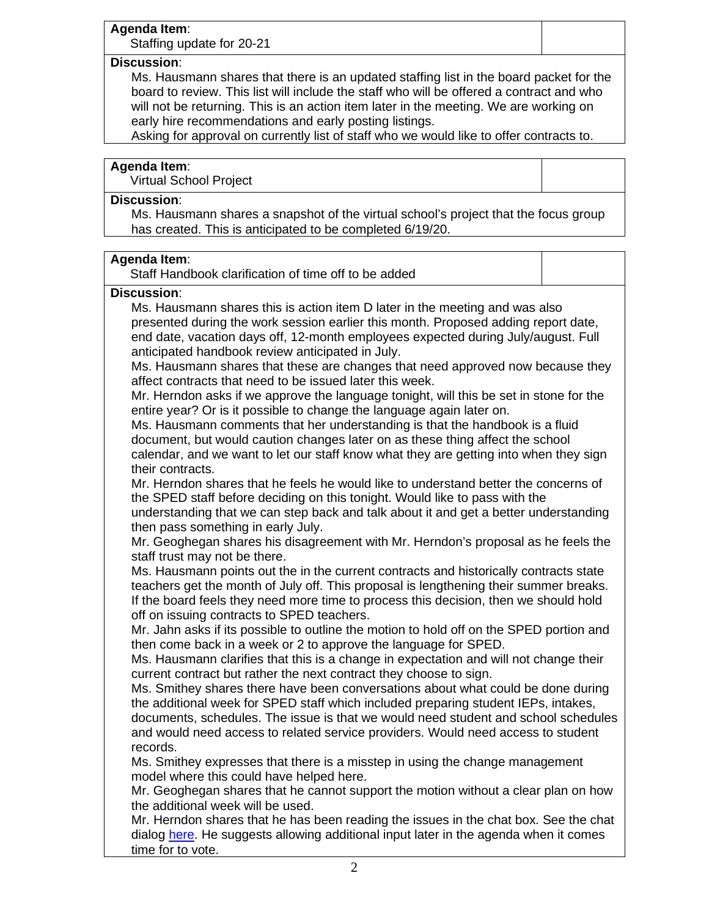# **Agenda Item**:

Staffing update for 20-21

# **Discussion**:

Ms. Hausmann shares that there is an updated staffing list in the board packet for the board to review. This list will include the staff who will be offered a contract and who will not be returning. This is an action item later in the meeting. We are working on early hire recommendations and early posting listings.

Asking for approval on currently list of staff who we would like to offer contracts to.

# **Agenda Item**:

Virtual School Project

# **Discussion**:

Ms. Hausmann shares a snapshot of the virtual school's project that the focus group has created. This is anticipated to be completed 6/19/20.

# **Agenda Item**:

| Staff Handbook clarification of time off to be added |  |
|------------------------------------------------------|--|
|------------------------------------------------------|--|

# **Discussion**:

Ms. Hausmann shares this is action item D later in the meeting and was also presented during the work session earlier this month. Proposed adding report date, end date, vacation days off, 12-month employees expected during July/august. Full anticipated handbook review anticipated in July.

Ms. Hausmann shares that these are changes that need approved now because they affect contracts that need to be issued later this week.

Mr. Herndon asks if we approve the language tonight, will this be set in stone for the entire year? Or is it possible to change the language again later on.

Ms. Hausmann comments that her understanding is that the handbook is a fluid document, but would caution changes later on as these thing affect the school calendar, and we want to let our staff know what they are getting into when they sign their contracts.

Mr. Herndon shares that he feels he would like to understand better the concerns of the SPED staff before deciding on this tonight. Would like to pass with the

understanding that we can step back and talk about it and get a better understanding then pass something in early July.

Mr. Geoghegan shares his disagreement with Mr. Herndon's proposal as he feels the staff trust may not be there.

Ms. Hausmann points out the in the current contracts and historically contracts state teachers get the month of July off. This proposal is lengthening their summer breaks. If the board feels they need more time to process this decision, then we should hold off on issuing contracts to SPED teachers.

Mr. Jahn asks if its possible to outline the motion to hold off on the SPED portion and then come back in a week or 2 to approve the language for SPED.

Ms. Hausmann clarifies that this is a change in expectation and will not change their current contract but rather the next contract they choose to sign.

Ms. Smithey shares there have been conversations about what could be done during the additional week for SPED staff which included preparing student IEPs, intakes, documents, schedules. The issue is that we would need student and school schedules and would need access to related service providers. Would need access to student records.

Ms. Smithey expresses that there is a misstep in using the change management model where this could have helped here.

Mr. Geoghegan shares that he cannot support the motion without a clear plan on how the additional week will be used.

Mr. Herndon shares that he has been reading the issues in the chat box. See the chat dialog here. He suggests allowing additional input later in the agenda when it comes time for to vote.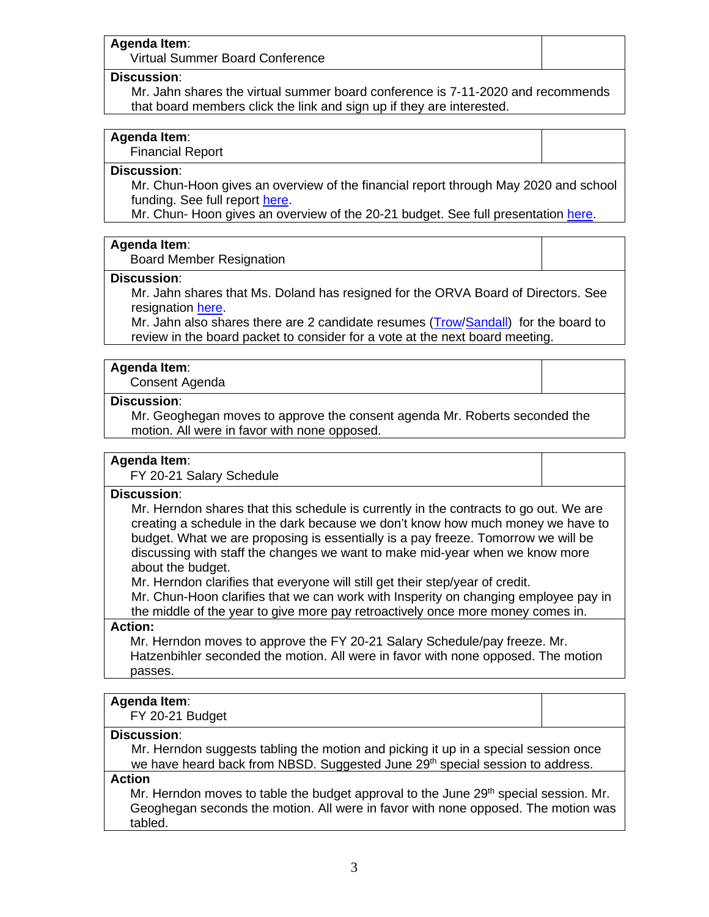#### **Agenda Item**:

Virtual Summer Board Conference

#### **Discussion**:

Mr. Jahn shares the virtual summer board conference is 7-11-2020 and recommends that board members click the link and sign up if they are interested.

# **Agenda Item**:

Financial Report

### **Discussion**:

Mr. Chun-Hoon gives an overview of the financial report through May 2020 and school funding. See full report here.

Mr. Chun- Hoon gives an overview of the 20-21 budget. See full presentation here.

#### **Agenda Item**:

Board Member Resignation

#### **Discussion**:

Mr. Jahn shares that Ms. Doland has resigned for the ORVA Board of Directors. See resignation here.

Mr. Jahn also shares there are 2 candidate resumes (Trow/Sandall) for the board to review in the board packet to consider for a vote at the next board meeting.

#### **Agenda Item**:

Consent Agenda

#### **Discussion**:

Mr. Geoghegan moves to approve the consent agenda Mr. Roberts seconded the motion. All were in favor with none opposed.

### **Agenda Item**:

FY 20-21 Salary Schedule

# **Discussion**:

Mr. Herndon shares that this schedule is currently in the contracts to go out. We are creating a schedule in the dark because we don't know how much money we have to budget. What we are proposing is essentially is a pay freeze. Tomorrow we will be discussing with staff the changes we want to make mid-year when we know more about the budget.

Mr. Herndon clarifies that everyone will still get their step/year of credit.

Mr. Chun-Hoon clarifies that we can work with Insperity on changing employee pay in the middle of the year to give more pay retroactively once more money comes in.

#### **Action:**

Mr. Herndon moves to approve the FY 20-21 Salary Schedule/pay freeze. Mr. Hatzenbihler seconded the motion. All were in favor with none opposed. The motion passes.

# **Agenda Item**:

FY 20-21 Budget

## **Discussion**:

Mr. Herndon suggests tabling the motion and picking it up in a special session once we have heard back from NBSD. Suggested June 29<sup>th</sup> special session to address.

#### **Action**

Mr. Herndon moves to table the budget approval to the June  $29<sup>th</sup>$  special session. Mr. Geoghegan seconds the motion. All were in favor with none opposed. The motion was tabled.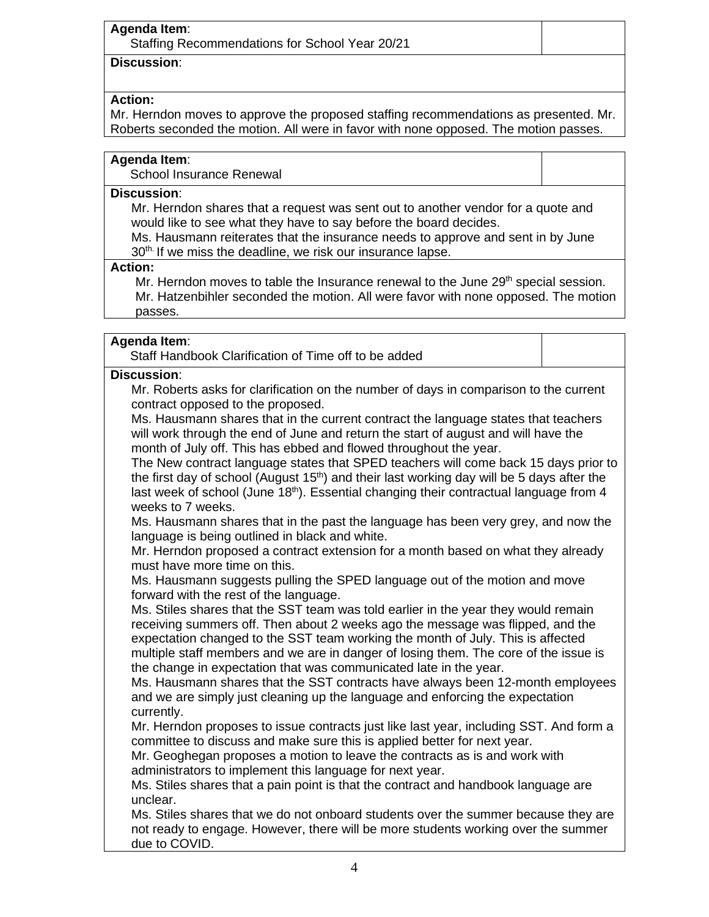# **Discussion**:

# **Action:**

Mr. Herndon moves to approve the proposed staffing recommendations as presented. Mr. Roberts seconded the motion. All were in favor with none opposed. The motion passes.

# **Agenda Item**:

School Insurance Renewal

### **Discussion**:

Mr. Herndon shares that a request was sent out to another vendor for a quote and would like to see what they have to say before the board decides.

Ms. Hausmann reiterates that the insurance needs to approve and sent in by June 30<sup>th.</sup> If we miss the deadline, we risk our insurance lapse.

# **Action:**

Mr. Herndon moves to table the Insurance renewal to the June 29<sup>th</sup> special session. Mr. Hatzenbihler seconded the motion. All were favor with none opposed. The motion passes.

# **Agenda Item**:

Staff Handbook Clarification of Time off to be added

# **Discussion**:

Mr. Roberts asks for clarification on the number of days in comparison to the current contract opposed to the proposed.

Ms. Hausmann shares that in the current contract the language states that teachers will work through the end of June and return the start of august and will have the month of July off. This has ebbed and flowed throughout the year.

The New contract language states that SPED teachers will come back 15 days prior to the first day of school (August  $15<sup>th</sup>$ ) and their last working day will be 5 days after the last week of school (June  $18<sup>th</sup>$ ). Essential changing their contractual language from 4 weeks to 7 weeks.

Ms. Hausmann shares that in the past the language has been very grey, and now the language is being outlined in black and white.

Mr. Herndon proposed a contract extension for a month based on what they already must have more time on this.

Ms. Hausmann suggests pulling the SPED language out of the motion and move forward with the rest of the language.

Ms. Stiles shares that the SST team was told earlier in the year they would remain receiving summers off. Then about 2 weeks ago the message was flipped, and the expectation changed to the SST team working the month of July. This is affected multiple staff members and we are in danger of losing them. The core of the issue is the change in expectation that was communicated late in the year.

Ms. Hausmann shares that the SST contracts have always been 12-month employees and we are simply just cleaning up the language and enforcing the expectation currently.

Mr. Herndon proposes to issue contracts just like last year, including SST. And form a committee to discuss and make sure this is applied better for next year.

Mr. Geoghegan proposes a motion to leave the contracts as is and work with administrators to implement this language for next year.

Ms. Stiles shares that a pain point is that the contract and handbook language are unclear.

Ms. Stiles shares that we do not onboard students over the summer because they are not ready to engage. However, there will be more students working over the summer due to COVID.